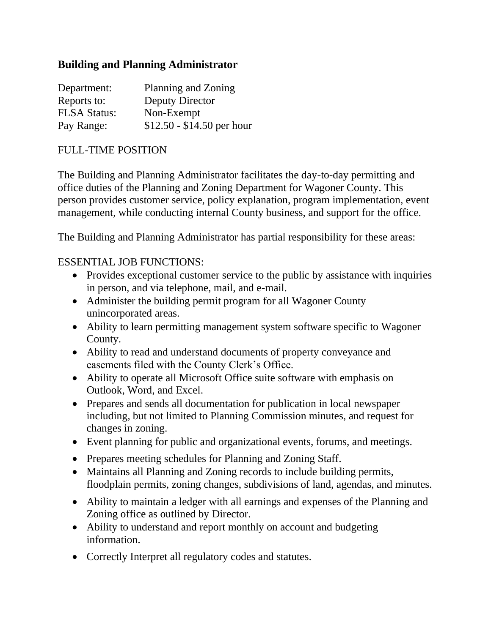## **Building and Planning Administrator**

| Department:         | Planning and Zoning        |
|---------------------|----------------------------|
| Reports to:         | Deputy Director            |
| <b>FLSA Status:</b> | Non-Exempt                 |
| Pay Range:          | $$12.50 - $14.50$ per hour |

## FULL-TIME POSITION

The Building and Planning Administrator facilitates the day-to-day permitting and office duties of the Planning and Zoning Department for Wagoner County. This person provides customer service, policy explanation, program implementation, event management, while conducting internal County business, and support for the office.

The Building and Planning Administrator has partial responsibility for these areas:

## ESSENTIAL JOB FUNCTIONS:

- Provides exceptional customer service to the public by assistance with inquiries in person, and via telephone, mail, and e-mail.
- Administer the building permit program for all Wagoner County unincorporated areas.
- Ability to learn permitting management system software specific to Wagoner County.
- Ability to read and understand documents of property conveyance and easements filed with the County Clerk's Office.
- Ability to operate all Microsoft Office suite software with emphasis on Outlook, Word, and Excel.
- Prepares and sends all documentation for publication in local newspaper including, but not limited to Planning Commission minutes, and request for changes in zoning.
- Event planning for public and organizational events, forums, and meetings.
- Prepares meeting schedules for Planning and Zoning Staff.
- Maintains all Planning and Zoning records to include building permits, floodplain permits, zoning changes, subdivisions of land, agendas, and minutes.
- Ability to maintain a ledger with all earnings and expenses of the Planning and Zoning office as outlined by Director.
- Ability to understand and report monthly on account and budgeting information.
- Correctly Interpret all regulatory codes and statutes.